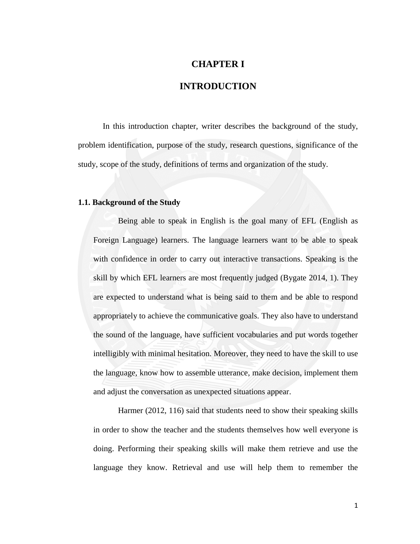# **CHAPTER I**

## **INTRODUCTION**

In this introduction chapter, writer describes the background of the study, problem identification, purpose of the study, research questions, significance of the study, scope of the study, definitions of terms and organization of the study.

#### **1.1. Background of the Study**

Being able to speak in English is the goal many of EFL (English as Foreign Language) learners. The language learners want to be able to speak with confidence in order to carry out interactive transactions. Speaking is the skill by which EFL learners are most frequently judged (Bygate 2014, 1). They are expected to understand what is being said to them and be able to respond appropriately to achieve the communicative goals. They also have to understand the sound of the language, have sufficient vocabularies and put words together intelligibly with minimal hesitation. Moreover, they need to have the skill to use the language, know how to assemble utterance, make decision, implement them and adjust the conversation as unexpected situations appear.

Harmer (2012, 116) said that students need to show their speaking skills in order to show the teacher and the students themselves how well everyone is doing. Performing their speaking skills will make them retrieve and use the language they know. Retrieval and use will help them to remember the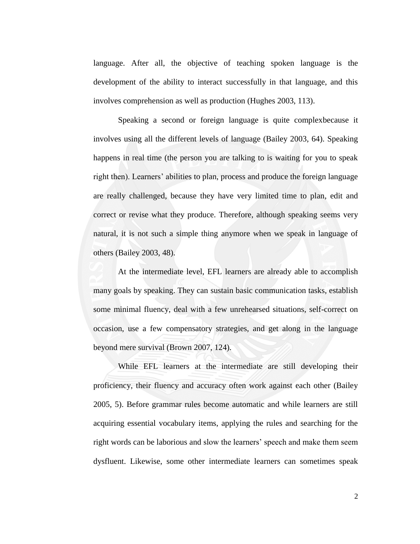language. After all, the objective of teaching spoken language is the development of the ability to interact successfully in that language, and this involves comprehension as well as production (Hughes 2003, 113).

Speaking a second or foreign language is quite complexbecause it involves using all the different levels of language (Bailey 2003, 64). Speaking happens in real time (the person you are talking to is waiting for you to speak right then). Learners' abilities to plan, process and produce the foreign language are really challenged, because they have very limited time to plan, edit and correct or revise what they produce. Therefore, although speaking seems very natural, it is not such a simple thing anymore when we speak in language of others (Bailey 2003, 48).

At the intermediate level, EFL learners are already able to accomplish many goals by speaking. They can sustain basic communication tasks, establish some minimal fluency, deal with a few unrehearsed situations, self-correct on occasion, use a few compensatory strategies, and get along in the language beyond mere survival (Brown 2007, 124).

While EFL learners at the intermediate are still developing their proficiency, their fluency and accuracy often work against each other (Bailey 2005, 5). Before grammar rules become automatic and while learners are still acquiring essential vocabulary items, applying the rules and searching for the right words can be laborious and slow the learners' speech and make them seem dysfluent. Likewise, some other intermediate learners can sometimes speak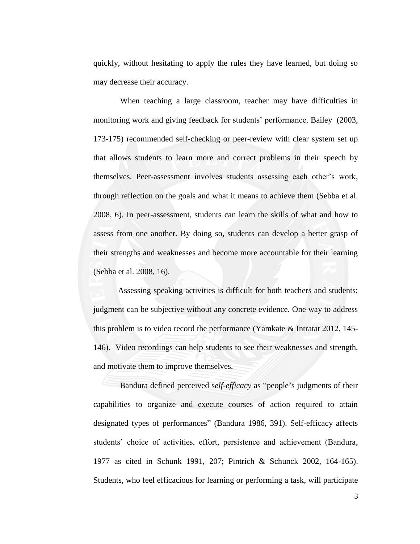quickly, without hesitating to apply the rules they have learned, but doing so may decrease their accuracy.

When teaching a large classroom, teacher may have difficulties in monitoring work and giving feedback for students' performance. Bailey (2003, 173-175) recommended self-checking or peer-review with clear system set up that allows students to learn more and correct problems in their speech by themselves. Peer-assessment involves students assessing each other's work, through reflection on the goals and what it means to achieve them (Sebba et al. 2008, 6). In peer-assessment, students can learn the skills of what and how to assess from one another. By doing so, students can develop a better grasp of their strengths and weaknesses and become more accountable for their learning (Sebba et al. 2008, 16).

Assessing speaking activities is difficult for both teachers and students; judgment can be subjective without any concrete evidence. One way to address this problem is to video record the performance (Yamkate & Intratat 2012, 145- 146). Video recordings can help students to see their weaknesses and strength, and motivate them to improve themselves.

Bandura defined perceived self-efficacy as "people's judgments of their capabilities to organize and execute courses of action required to attain designated types of performances" (Bandura 1986, 391). Self-efficacy affects students' choice of activities, effort, persistence and achievement (Bandura, 1977 as cited in Schunk 1991, 207; Pintrich & Schunck 2002, 164-165). Students, who feel efficacious for learning or performing a task, will participate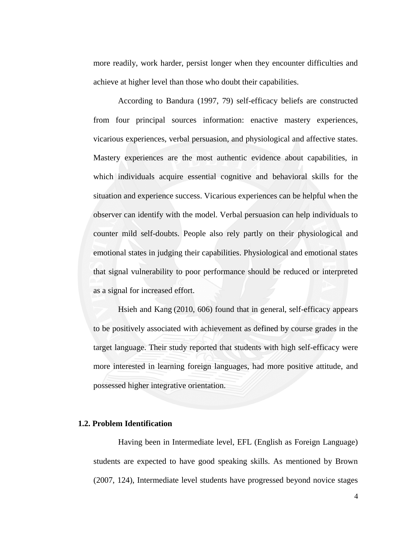more readily, work harder, persist longer when they encounter difficulties and achieve at higher level than those who doubt their capabilities.

According to Bandura (1997, 79) self-efficacy beliefs are constructed from four principal sources information: enactive mastery experiences, vicarious experiences, verbal persuasion, and physiological and affective states. Mastery experiences are the most authentic evidence about capabilities, in which individuals acquire essential cognitive and behavioral skills for the situation and experience success. Vicarious experiences can be helpful when the observer can identify with the model. Verbal persuasion can help individuals to counter mild self-doubts. People also rely partly on their physiological and emotional states in judging their capabilities. Physiological and emotional states that signal vulnerability to poor performance should be reduced or interpreted as a signal for increased effort.

Hsieh and Kang (2010, 606) found that in general, self-efficacy appears to be positively associated with achievement as defined by course grades in the target language. Their study reported that students with high self-efficacy were more interested in learning foreign languages, had more positive attitude, and possessed higher integrative orientation.

### **1.2. Problem Identification**

Having been in Intermediate level, EFL (English as Foreign Language) students are expected to have good speaking skills. As mentioned by Brown (2007, 124), Intermediate level students have progressed beyond novice stages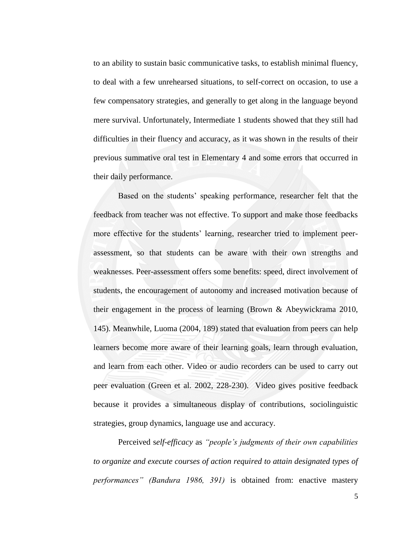to an ability to sustain basic communicative tasks, to establish minimal fluency, to deal with a few unrehearsed situations, to self-correct on occasion, to use a few compensatory strategies, and generally to get along in the language beyond mere survival. Unfortunately, Intermediate 1 students showed that they still had difficulties in their fluency and accuracy, as it was shown in the results of their previous summative oral test in Elementary 4 and some errors that occurred in their daily performance.

Based on the students' speaking performance, researcher felt that the feedback from teacher was not effective. To support and make those feedbacks more effective for the students' learning, researcher tried to implement peerassessment, so that students can be aware with their own strengths and weaknesses. Peer-assessment offers some benefits: speed, direct involvement of students, the encouragement of autonomy and increased motivation because of their engagement in the process of learning (Brown & Abeywickrama 2010, 145). Meanwhile, Luoma (2004, 189) stated that evaluation from peers can help learners become more aware of their learning goals, learn through evaluation, and learn from each other. Video or audio recorders can be used to carry out peer evaluation (Green et al. 2002, 228-230). Video gives positive feedback because it provides a simultaneous display of contributions, sociolinguistic strategies, group dynamics, language use and accuracy.

Perceived s*elf-efficacy* as *"people's judgments of their own capabilities to organize and execute courses of action required to attain designated types of performances" (Bandura 1986, 391)* is obtained from: enactive mastery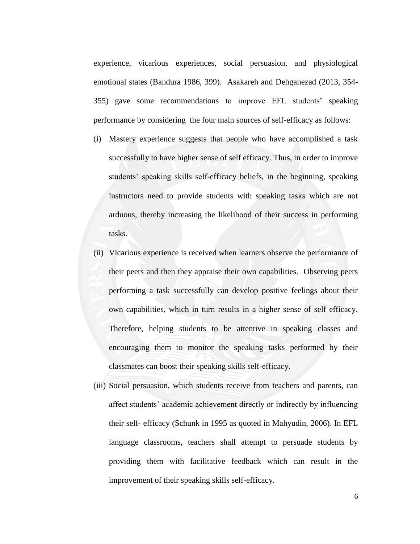experience, vicarious experiences, social persuasion, and physiological emotional states (Bandura 1986, 399). Asakareh and Dehganezad (2013, 354- 355) gave some recommendations to improve EFL students' speaking performance by considering the four main sources of self-efficacy as follows:

- (i) Mastery experience suggests that people who have accomplished a task successfully to have higher sense of self efficacy. Thus, in order to improve students' speaking skills self-efficacy beliefs, in the beginning, speaking instructors need to provide students with speaking tasks which are not arduous, thereby increasing the likelihood of their success in performing tasks.
- (ii) Vicarious experience is received when learners observe the performance of their peers and then they appraise their own capabilities. Observing peers performing a task successfully can develop positive feelings about their own capabilities, which in turn results in a higher sense of self efficacy. Therefore, helping students to be attentive in speaking classes and encouraging them to monitor the speaking tasks performed by their classmates can boost their speaking skills self-efficacy.
- (iii) Social persuasion, which students receive from teachers and parents, can affect students' academic achievement directly or indirectly by influencing their self- efficacy (Schunk in 1995 as quoted in Mahyudin, 2006). In EFL language classrooms, teachers shall attempt to persuade students by providing them with facilitative feedback which can result in the improvement of their speaking skills self-efficacy.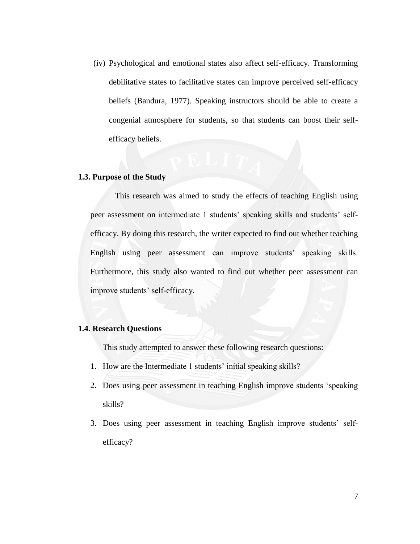(iv) Psychological and emotional states also affect self-efficacy. Transforming debilitative states to facilitative states can improve perceived self-efficacy beliefs (Bandura, 1977). Speaking instructors should be able to create a congenial atmosphere for students, so that students can boost their selfefficacy beliefs.

#### **1.3. Purpose of the Study**

This research was aimed to study the effects of teaching English using peer assessment on intermediate 1 students' speaking skills and students' selfefficacy. By doing this research, the writer expected to find out whether teaching English using peer assessment can improve students' speaking skills. Furthermore, this study also wanted to find out whether peer assessment can improve students' self-efficacy.

### **1.4. Research Questions**

This study attempted to answer these following research questions:

- 1. How are the Intermediate 1 students' initial speaking skills?
- 2. Does using peer assessment in teaching English improve students 'speaking skills?
- 3. Does using peer assessment in teaching English improve students' selfefficacy?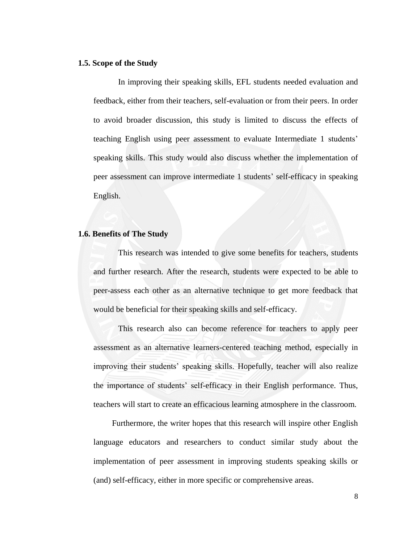#### **1.5. Scope of the Study**

In improving their speaking skills, EFL students needed evaluation and feedback, either from their teachers, self-evaluation or from their peers. In order to avoid broader discussion, this study is limited to discuss the effects of teaching English using peer assessment to evaluate Intermediate 1 students' speaking skills. This study would also discuss whether the implementation of peer assessment can improve intermediate 1 students' self-efficacy in speaking English.

## **1.6. Benefits of The Study**

This research was intended to give some benefits for teachers, students and further research. After the research, students were expected to be able to peer-assess each other as an alternative technique to get more feedback that would be beneficial for their speaking skills and self-efficacy.

This research also can become reference for teachers to apply peer assessment as an alternative learners-centered teaching method, especially in improving their students' speaking skills. Hopefully, teacher will also realize the importance of students' self-efficacy in their English performance. Thus, teachers will start to create an efficacious learning atmosphere in the classroom.

Furthermore, the writer hopes that this research will inspire other English language educators and researchers to conduct similar study about the implementation of peer assessment in improving students speaking skills or (and) self-efficacy, either in more specific or comprehensive areas.